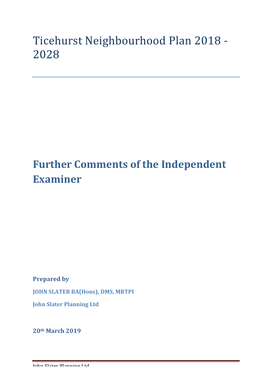## Ticehurst Neighbourhood Plan 2018 -2028

# **Further Comments of the Independent Examiner**

**Prepared by** 

**JOHN SLATER BA(Hons), DMS, MRTPI** 

**John Slater Planning Ltd**

**20th March 2019**

John Slater Planning Ltd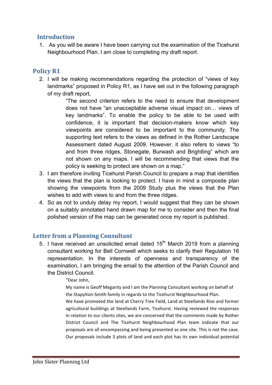### **Introduction**

1. As you will be aware I have been carrying out the examination of the Ticehurst Neighbourhood Plan. I am close to completing my draft report.

### **Policy R1**

2. I will be making recommendations regarding the protection of "views of key landmarks" proposed in Policy R1, as I have set out in the following paragraph of my draft report,

> "The second criterion refers to the need to ensure that development does not have "an unacceptable adverse visual impact on… views of key landmarks". To enable the policy to be able to be used with confidence, it is important that decision-makers know which key viewpoints are considered to be important to the community. The supporting text refers to the views as defined in the Rother Landscape Assessment dated August 2009. However. it also refers to views "to and from three ridges, Stonegate, Burwash and Brightling" which are not shown on any maps. I will be recommending that views that the policy is seeking to protect are shown on a map."

- 3. I am therefore inviting Ticehurst Parish Council to prepare a map that identifies the views that the plan is looking to protect. I have in mind a composite plan showing the viewpoints from the 2009 Study plus the views that the Plan wishes to add with views to and from the three ridges.
- 4. So as not to unduly delay my report, I would suggest that they can be shown on a suitably annotated hand drawn map for me to consider and then the final polished version of the map can be generated once my report is published.

### Letter from a Planning Consultant

5. I have received an unsolicited email dated  $15<sup>th</sup>$  March 2019 from a planning consultant working for Bell Cornwell which seeks to clarify their Regulation 16 representation. In the interests of openness and transparency of the examination, I am bringing the email to the attention of the Parish Council and the District Council.

#### "Dear John,

My name is Geoff Megarity and I am the Planning Consultant working on behalf of the Stapylton-Smith family in regards to the Ticehurst Neighbourhood Plan.

We have promoted the land at Cherry Tree Field, Land at Steellands Rise and former agricultural buildings at Steellands Farm, Ticehurst. Having reviewed the responses in relation to our clients sites, we are concerned that the comments made by Rother District Council and The Ticehurst Neighbourhood Plan team indicate that our proposals are all encompassing and being presented as one site. This is not the case. Our proposals include 3 plots of land and each plot has its own individual potential